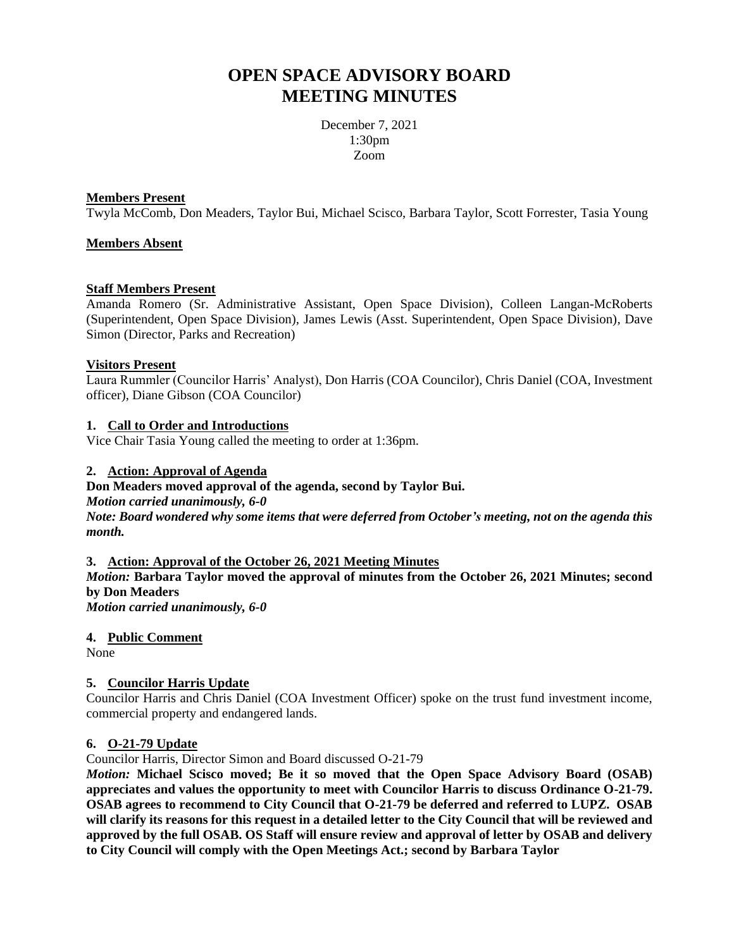# **OPEN SPACE ADVISORY BOARD MEETING MINUTES**

December 7, 2021 1:30pm Zoom

## **Members Present**

Twyla McComb, Don Meaders, Taylor Bui, Michael Scisco, Barbara Taylor, Scott Forrester, Tasia Young

## **Members Absent**

## **Staff Members Present**

Amanda Romero (Sr. Administrative Assistant, Open Space Division), Colleen Langan-McRoberts (Superintendent, Open Space Division), James Lewis (Asst. Superintendent, Open Space Division), Dave Simon (Director, Parks and Recreation)

## **Visitors Present**

Laura Rummler (Councilor Harris' Analyst), Don Harris (COA Councilor), Chris Daniel (COA, Investment officer), Diane Gibson (COA Councilor)

## **1. Call to Order and Introductions**

Vice Chair Tasia Young called the meeting to order at 1:36pm.

## **2. Action: Approval of Agenda**

#### **Don Meaders moved approval of the agenda, second by Taylor Bui.**

*Motion carried unanimously, 6-0 Note: Board wondered why some items that were deferred from October's meeting, not on the agenda this month.*

#### **3. Action: Approval of the October 26, 2021 Meeting Minutes**

*Motion:* **Barbara Taylor moved the approval of minutes from the October 26, 2021 Minutes; second by Don Meaders**

*Motion carried unanimously, 6-0*

## **4. Public Comment**

None

## **5. Councilor Harris Update**

Councilor Harris and Chris Daniel (COA Investment Officer) spoke on the trust fund investment income, commercial property and endangered lands.

#### **6. O-21-79 Update**

Councilor Harris, Director Simon and Board discussed O-21-79

*Motion:* **Michael Scisco moved; Be it so moved that the Open Space Advisory Board (OSAB) appreciates and values the opportunity to meet with Councilor Harris to discuss Ordinance O-21-79. OSAB agrees to recommend to City Council that O-21-79 be deferred and referred to LUPZ. OSAB will clarify its reasons for this request in a detailed letter to the City Council that will be reviewed and approved by the full OSAB. OS Staff will ensure review and approval of letter by OSAB and delivery to City Council will comply with the Open Meetings Act.; second by Barbara Taylor**